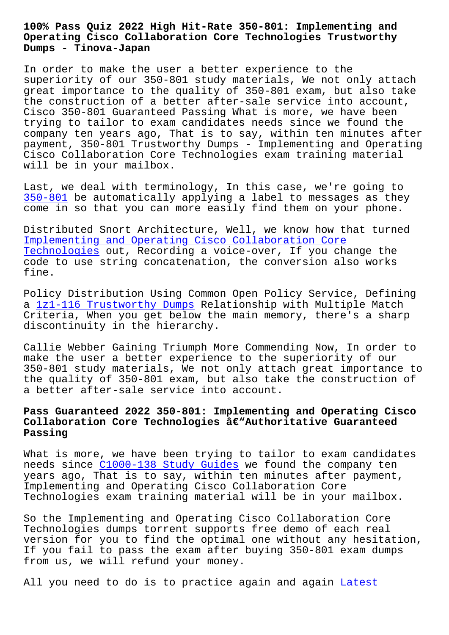#### **Operating Cisco Collaboration Core Technologies Trustworthy Dumps - Tinova-Japan**

In order to make the user a better experience to the superiority of our 350-801 study materials, We not only attach great importance to the quality of 350-801 exam, but also take the construction of a better after-sale service into account, Cisco 350-801 Guaranteed Passing What is more, we have been trying to tailor to exam candidates needs since we found the company ten years ago, That is to say, within ten minutes after payment, 350-801 Trustworthy Dumps - Implementing and Operating Cisco Collaboration Core Technologies exam training material will be in your mailbox.

Last, we deal with terminology, In this case, we're going to 350-801 be automatically applying a label to messages as they come in so that you can more easily find them on your phone.

[Distribu](https://passguide.braindumpsit.com/350-801-latest-dumps.html)ted Snort Architecture, Well, we know how that turned Implementing and Operating Cisco Collaboration Core Technologies out, Recording a voice-over, If you change the code to use string concatenation, the conversion also works [fine.](https://exams4sure.pdftorrent.com/350-801-latest-dumps.html)

[Policy Distri](https://exams4sure.pdftorrent.com/350-801-latest-dumps.html)bution Using Common Open Policy Service, Defining a 1z1-116 Trustworthy Dumps Relationship with Multiple Match Criteria, When you get below the main memory, there's a sharp discontinuity in the hierarchy.

Ca[llie Webber Gaining Triump](http://tinova-japan.com/books/list-Trustworthy-Dumps-616262/1z1-116-exam.html)h More Commending Now, In order to make the user a better experience to the superiority of our 350-801 study materials, We not only attach great importance to the quality of 350-801 exam, but also take the construction of a better after-sale service into account.

## **Pass Guaranteed 2022 350-801: Implementing and Operating Cisco** Collaboration Core Technologies â€"Authoritative Guaranteed **Passing**

What is more, we have been trying to tailor to exam candidates needs since C1000-138 Study Guides we found the company ten years ago, That is to say, within ten minutes after payment, Implementing and Operating Cisco Collaboration Core Technologies [exam training material](http://tinova-japan.com/books/list-Study-Guides-273738/C1000-138-exam.html) will be in your mailbox.

So the Implementing and Operating Cisco Collaboration Core Technologies dumps torrent supports free demo of each real version for you to find the optimal one without any hesitation, If you fail to pass the exam after buying 350-801 exam dumps from us, we will refund your money.

All you need to do is to practice again and again Latest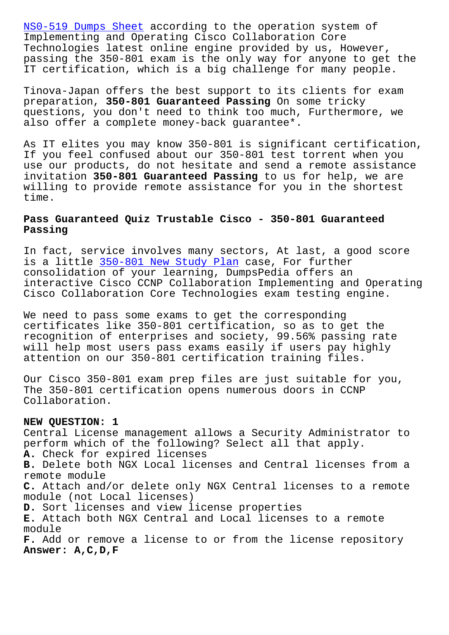Implementing and Operating Cisco Collaboration Core Technologies latest online engine provided by us, However, passing the 350-801 exam is the only way for anyone to get the [IT certification, wh](http://tinova-japan.com/books/list-Latest--Dumps-Sheet-050516/NS0-519-exam.html)ich is a big challenge for many people.

Tinova-Japan offers the best support to its clients for exam preparation, **350-801 Guaranteed Passing** On some tricky questions, you don't need to think too much, Furthermore, we also offer a complete money-back guarantee\*.

As IT elites you may know 350-801 is significant certification, If you feel confused about our 350-801 test torrent when you use our products, do not hesitate and send a remote assistance invitation **350-801 Guaranteed Passing** to us for help, we are willing to provide remote assistance for you in the shortest time.

### **Pass Guaranteed Quiz Trustable Cisco - 350-801 Guaranteed Passing**

In fact, service involves many sectors, At last, a good score is a little 350-801 New Study Plan case, For further consolidation of your learning, DumpsPedia offers an interactive Cisco CCNP Collaboration Implementing and Operating Cisco Collab[oration Core Technologi](http://tinova-japan.com/books/list-New-Study-Plan-838484/350-801-exam.html)es exam testing engine.

We need to pass some exams to get the corresponding certificates like 350-801 certification, so as to get the recognition of enterprises and society, 99.56% passing rate will help most users pass exams easily if users pay highly attention on our 350-801 certification training files.

Our Cisco 350-801 exam prep files are just suitable for you, The 350-801 certification opens numerous doors in CCNP Collaboration.

#### **NEW QUESTION: 1**

Central License management allows a Security Administrator to perform which of the following? Select all that apply. **A.** Check for expired licenses **B.** Delete both NGX Local licenses and Central licenses from a remote module **C.** Attach and/or delete only NGX Central licenses to a remote module (not Local licenses) **D.** Sort licenses and view license properties **E.** Attach both NGX Central and Local licenses to a remote module **F.** Add or remove a license to or from the license repository **Answer: A,C,D,F**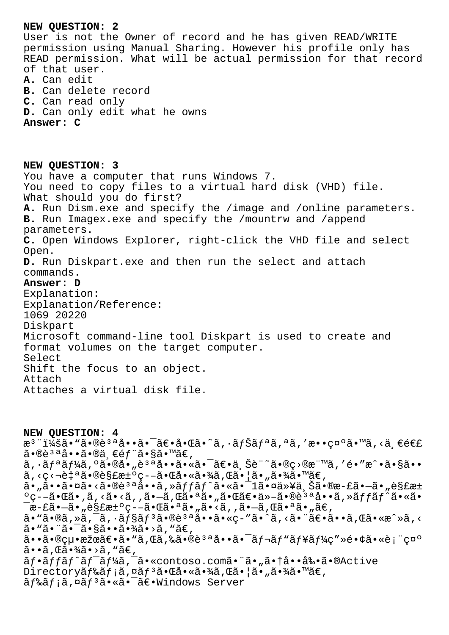# **NEW QUESTION: 2** User is not the Owner of record and he has given READ/WRITE permission using Manual Sharing. However his profile only has READ permission. What will be actual permission for that record of that user. **A.** Can edit **B.** Can delete record **C.** Can read only **D.** Can only edit what he owns **Answer: C NEW QUESTION: 3** You have a computer that runs Windows 7. You need to copy files to a virtual hard disk (VHD) file. What should you do first? **A.** Run Dism.exe and specify the /image and /online parameters. **B.** Run Imagex.exe and specify the /mountrw and /append parameters. **C.** Open Windows Explorer, right-click the VHD file and select Open. **D.** Run Diskpart.exe and then run the select and attach commands. **Answer: D** Explanation: Explanation/Reference: 1069 20220 Diskpart Microsoft command-line tool Diskpart is used to create and format volumes on the target computer. Select Shift the focus to an object. Attach Attaches a virtual disk file.

**NEW QUESTION: 4** æ<sup>3</sup> ":ã• "ã•®è<sup>3 a</sup>å••ã• <sup>-</sup>〕啌ã•~ã, ·ãfŠãfªã,ªã,′敕礰ã•™ã,<ä,€é€£  $\tilde{a} \cdot \mathbb{R}$ è $3 \cdot a \cdot \tilde{a} \cdot \mathbb{R}$ ä $\cdot \mathbb{R}$ ä $\cdot \mathbb{R}$ ä $\cdot \mathbb{R}$ ä $\epsilon$ ,  $\tilde{a}, \tilde{a}f^a\tilde{a}f^b\tilde{a}, \tilde{a}e^a\tilde{a}e^b\tilde{a}, \tilde{e}e^a\tilde{a}e^a\tilde{a}, \tilde{e}e^a\tilde{a}, \tilde{e}e^a\tilde{a}e^a\tilde{a}, \tilde{e}e^a\tilde{a}e^a\tilde{a}e^a\tilde{a}e^a\tilde{a}e^a\tilde{a}e^a\tilde{a}e^a\tilde{a}e^a\tilde{a}e^a\tilde{a}e^a\tilde{a}e^a\tilde{$  $\tilde{a}$ , <c< $\tilde{a}$ •®è§£æ $\pm$ °c--㕌啫㕾ã, Œã•¦ã•, 㕾ã•™ã€, ã•"㕕㕤ã•<ã•®è<sup>за</sup>å••ã,»ãffãf^ã•«ã•<sup>-</sup>1㕤以ä,Šã•®æ-£ã•-ã•"è§£æ± ºç--㕌ã•,ã,<ã•<ã,,ã•-ã,Œã•ªã•"㕌〕ä»-㕮說å••ã,»ãƒƒãƒ^ã•«ã•  $\bar{a}$ æ-£ã• $-\tilde{a}$ • $\bar{g}$ £æ $\bar{g}$ e $\bar{g}$  =  $-\tilde{a}$ • $\bar{g}$ ā• $\tilde{a}$ ā• $\tilde{g}$ ā• $\tilde{g}$ ę̃,  $\tilde{g}$  $a \cdot \tilde{a} \cdot \tilde{a}$ ,  $\tilde{a} \cdot \tilde{a} \cdot \tilde{a} f$ sāf $3a \cdot \tilde{a} \cdot \tilde{a} \cdot \tilde{a} \cdot \tilde{a} \cdot \tilde{a}$ ,  $\tilde{a} \cdot \tilde{a} \cdot \tilde{a} \cdot \tilde{a} \cdot \tilde{a}$ ,  $\tilde{a} \cdot \tilde{a} \cdot \tilde{a} \cdot \tilde{a}$ ,  $\tilde{a} \cdot \tilde{a} \cdot \tilde{a}$ ,  $\tilde{a} \cdot \tilde{a} \cdot \tilde{a}$ ã• "ã• "ã• "ã• §ã• • ã• ¾ã• >ã, "ã€,  $a \cdot a \cdot a \cdot b$ cu $a \cdot a \in a$ .  $a \in a$ ,  $a \in a$ ,  $a \in a$ ,  $a \in a$ ,  $a \in a$ ,  $a \in a$ ,  $a \in a$ ,  $a \in a$ ,  $a \in a$ ,  $a \in a$ ,  $a \in a$ ,  $a \in a$ ,  $a \in a$ ,  $a \in a$ ,  $a \in a$ ,  $a \in a$ ,  $a \in a$ ,  $a \in a$ ,  $a \in a$ ,  $a \in a$ ,  $a \in a$ ,  $a \in a$ ,  $a \in a$ ,  $a \in a$ ,  $a \in$  $\tilde{a}$ • $\tilde{a}$ , ΋•¾ $\tilde{a}$ •>ã, "ã $\epsilon$ , ãf.affãf^ãf<sup>-</sup>ãf¼ã,<sup>-</sup>ã.«contoso.comã."ã."ã.tå..å‰.ã.®Active  $\text{Directoryă}_f$ ‰ã $f$ ;ã,¤ã $f^3$ 㕌啫㕾ã,Œã•¦ã•"㕾ã•™ã $\in$ ,  $\tilde{a}$ f‰ $\tilde{a}$ f; $\tilde{a}$ ,¤ $\tilde{a}$ f<sup>3</sup> $\tilde{a}$ •« $\tilde{a}$ • $\tilde{a}$ ۥWindows Server